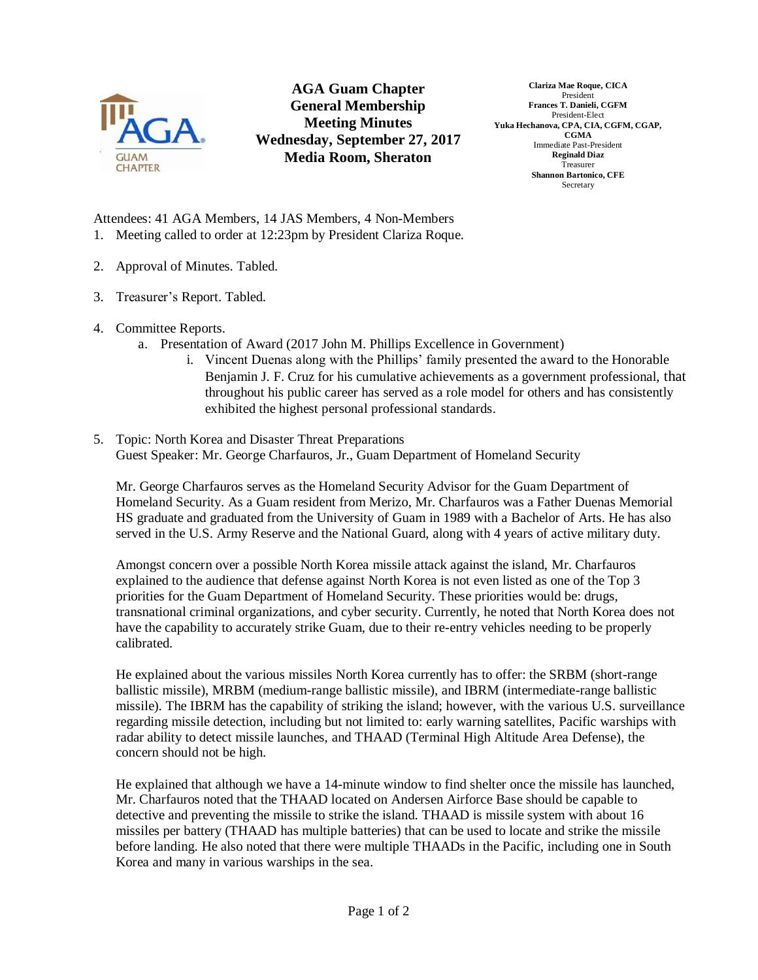

## **AGA Guam Chapter General Membership Meeting Minutes Wednesday, September 27, 2017 Media Room, Sheraton**

**Clariza Mae Roque, CICA** President **Frances T. Danieli, CGFM** President-Elect **Yuka Hechanova, CPA, CIA, CGFM, CGAP, CGMA** Immediate Past-President **Reginald Diaz** Treasurer **Shannon Bartonico, CFE** Secretary

Attendees: 41 AGA Members, 14 JAS Members, 4 Non-Members 1. Meeting called to order at 12:23pm by President Clariza Roque.

- 2. Approval of Minutes. Tabled.
- 3. Treasurer's Report. Tabled.
- 4. Committee Reports.
	- a. Presentation of Award (2017 John M. Phillips Excellence in Government)
		- i. Vincent Duenas along with the Phillips' family presented the award to the Honorable Benjamin J. F. Cruz for his cumulative achievements as a government professional, that throughout his public career has served as a role model for others and has consistently exhibited the highest personal professional standards.
- 5. Topic: North Korea and Disaster Threat Preparations Guest Speaker: Mr. George Charfauros, Jr., Guam Department of Homeland Security

Mr. George Charfauros serves as the Homeland Security Advisor for the Guam Department of Homeland Security. As a Guam resident from Merizo, Mr. Charfauros was a Father Duenas Memorial HS graduate and graduated from the University of Guam in 1989 with a Bachelor of Arts. He has also served in the U.S. Army Reserve and the National Guard, along with 4 years of active military duty.

Amongst concern over a possible North Korea missile attack against the island, Mr. Charfauros explained to the audience that defense against North Korea is not even listed as one of the Top 3 priorities for the Guam Department of Homeland Security. These priorities would be: drugs, transnational criminal organizations, and cyber security. Currently, he noted that North Korea does not have the capability to accurately strike Guam, due to their re-entry vehicles needing to be properly calibrated.

He explained about the various missiles North Korea currently has to offer: the SRBM (short-range ballistic missile), MRBM (medium-range ballistic missile), and IBRM (intermediate-range ballistic missile). The IBRM has the capability of striking the island; however, with the various U.S. surveillance regarding missile detection, including but not limited to: early warning satellites, Pacific warships with radar ability to detect missile launches, and THAAD (Terminal High Altitude Area Defense), the concern should not be high.

He explained that although we have a 14-minute window to find shelter once the missile has launched, Mr. Charfauros noted that the THAAD located on Andersen Airforce Base should be capable to detective and preventing the missile to strike the island. THAAD is missile system with about 16 missiles per battery (THAAD has multiple batteries) that can be used to locate and strike the missile before landing. He also noted that there were multiple THAADs in the Pacific, including one in South Korea and many in various warships in the sea.